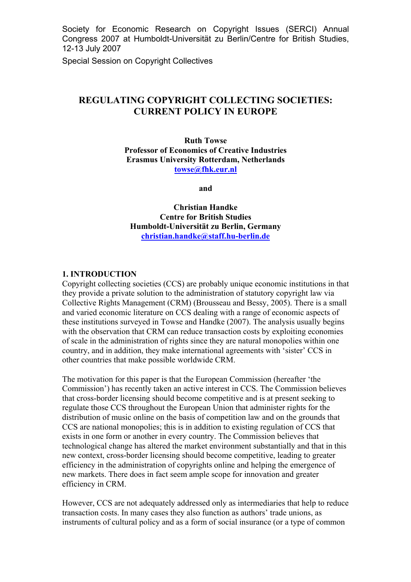Society for Economic Research on Copyright Issues (SERCI) Annual Congress 2007 at Humboldt-Universität zu Berlin/Centre for British Studies, 12-13 July 2007

Special Session on Copyright Collectives

# **REGULATING COPYRIGHT COLLECTING SOCIETIES: CURRENT POLICY IN EUROPE**

**Ruth Towse Professor of Economics of Creative Industries Erasmus University Rotterdam, Netherlands towse@fhk.eur.nl**

**and** 

**Christian Handke Centre for British Studies Humboldt-Universität zu Berlin, Germany christian.handke@staff.hu-berlin.de**

#### **1. INTRODUCTION**

Copyright collecting societies (CCS) are probably unique economic institutions in that they provide a private solution to the administration of statutory copyright law via Collective Rights Management (CRM) (Brousseau and Bessy, 2005). There is a small and varied economic literature on CCS dealing with a range of economic aspects of these institutions surveyed in Towse and Handke (2007). The analysis usually begins with the observation that CRM can reduce transaction costs by exploiting economies of scale in the administration of rights since they are natural monopolies within one country, and in addition, they make international agreements with 'sister' CCS in other countries that make possible worldwide CRM.

The motivation for this paper is that the European Commission (hereafter 'the Commission') has recently taken an active interest in CCS. The Commission believes that cross-border licensing should become competitive and is at present seeking to regulate those CCS throughout the European Union that administer rights for the distribution of music online on the basis of competition law and on the grounds that CCS are national monopolies; this is in addition to existing regulation of CCS that exists in one form or another in every country. The Commission believes that technological change has altered the market environment substantially and that in this new context, cross-border licensing should become competitive, leading to greater efficiency in the administration of copyrights online and helping the emergence of new markets. There does in fact seem ample scope for innovation and greater efficiency in CRM.

However, CCS are not adequately addressed only as intermediaries that help to reduce transaction costs. In many cases they also function as authors' trade unions, as instruments of cultural policy and as a form of social insurance (or a type of common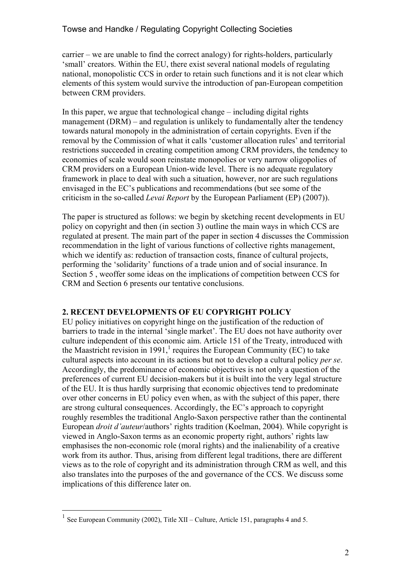carrier – we are unable to find the correct analogy) for rights-holders, particularly 'small' creators. Within the EU, there exist several national models of regulating national, monopolistic CCS in order to retain such functions and it is not clear which elements of this system would survive the introduction of pan-European competition between CRM providers.

In this paper, we argue that technological change – including digital rights management (DRM) – and regulation is unlikely to fundamentally alter the tendency towards natural monopoly in the administration of certain copyrights. Even if the removal by the Commission of what it calls 'customer allocation rules' and territorial restrictions succeeded in creating competition among CRM providers, the tendency to economies of scale would soon reinstate monopolies or very narrow oligopolies of CRM providers on a European Union-wide level. There is no adequate regulatory framework in place to deal with such a situation, however, nor are such regulations envisaged in the EC's publications and recommendations (but see some of the criticism in the so-called *Levai Report* by the European Parliament (EP) (2007)).

The paper is structured as follows: we begin by sketching recent developments in EU policy on copyright and then (in section 3) outline the main ways in which CCS are regulated at present. The main part of the paper in section 4 discusses the Commission recommendation in the light of various functions of collective rights management, which we identify as: reduction of transaction costs, finance of cultural projects, performing the 'solidarity' functions of a trade union and of social insurance. In Section 5 , weoffer some ideas on the implications of competition between CCS for CRM and Section 6 presents our tentative conclusions.

## **2. RECENT DEVELOPMENTS OF EU COPYRIGHT POLICY**

EU policy initiatives on copyright hinge on the justification of the reduction of barriers to trade in the internal 'single market'. The EU does not have authority over culture independent of this economic aim. Article 151 of the Treaty, introduced with the Maastricht revision in 1991,<sup>1</sup> requires the European Community (EC) to take cultural aspects into account in its actions but not to develop a cultural policy *per se*. Accordingly, the predominance of economic objectives is not only a question of the preferences of current EU decision-makers but it is built into the very legal structure of the EU. It is thus hardly surprising that economic objectives tend to predominate over other concerns in EU policy even when, as with the subject of this paper, there are strong cultural consequences. Accordingly, the EC's approach to copyright roughly resembles the traditional Anglo-Saxon perspective rather than the continental European *droit d'auteur*/authors' rights tradition (Koelman, 2004). While copyright is viewed in Anglo-Saxon terms as an economic property right, authors' rights law emphasises the non-economic role (moral rights) and the inalienability of a creative work from its author. Thus, arising from different legal traditions, there are different views as to the role of copyright and its administration through CRM as well, and this also translates into the purposes of the and governance of the CCS. We discuss some implications of this difference later on.

<sup>&</sup>lt;sup>1</sup> See European Community (2002), Title XII – Culture, Article 151, paragraphs 4 and 5.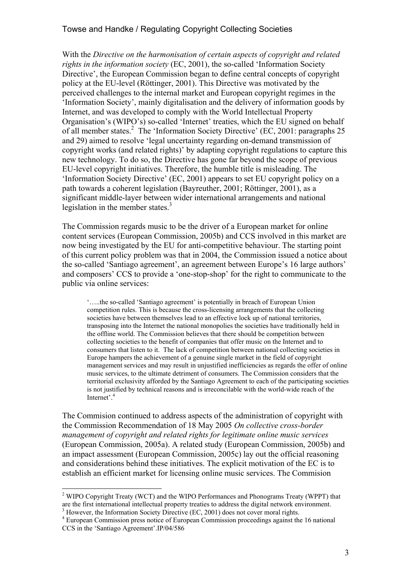With the *Directive on the harmonisation of certain aspects of copyright and related rights in the information society* (EC, 2001), the so-called 'Information Society Directive', the European Commission began to define central concepts of copyright policy at the EU-level (Röttinger, 2001). This Directive was motivated by the perceived challenges to the internal market and European copyright regimes in the 'Information Society', mainly digitalisation and the delivery of information goods by Internet, and was developed to comply with the World Intellectual Property Organisation's (WIPO's) so-called 'Internet' treaties, which the EU signed on behalf of all member states.<sup>2</sup> The 'Information Society Directive' (EC, 2001: paragraphs 25 and 29) aimed to resolve 'legal uncertainty regarding on-demand transmission of copyright works (and related rights)' by adapting copyright regulations to capture this new technology. To do so, the Directive has gone far beyond the scope of previous EU-level copyright initiatives. Therefore, the humble title is misleading. The 'Information Society Directive' (EC, 2001) appears to set EU copyright policy on a path towards a coherent legislation (Bayreuther, 2001; Röttinger, 2001), as a significant middle-layer between wider international arrangements and national legislation in the member states. $3$ 

The Commission regards music to be the driver of a European market for online content services (European Commission, 2005b) and CCS involved in this market are now being investigated by the EU for anti-competitive behaviour. The starting point of this current policy problem was that in 2004, the Commission issued a notice about the so-called 'Santiago agreement', an agreement between Europe's 16 large authors' and composers' CCS to provide a 'one-stop-shop' for the right to communicate to the public via online services:

'…..the so-called 'Santiago agreement' is potentially in breach of European Union competition rules. This is because the cross-licensing arrangements that the collecting societies have between themselves lead to an effective lock up of national territories, transposing into the Internet the national monopolies the societies have traditionally held in the offline world. The Commission believes that there should be competition between collecting societies to the benefit of companies that offer music on the Internet and to consumers that listen to it. The lack of competition between national collecting societies in Europe hampers the achievement of a genuine single market in the field of copyright management services and may result in unjustified inefficiencies as regards the offer of online music services, to the ultimate detriment of consumers. The Commission considers that the territorial exclusivity afforded by the Santiago Agreement to each of the participating societies is not justified by technical reasons and is irreconcilable with the world-wide reach of the Internet'. 4

The Commision continued to address aspects of the administration of copyright with the Commission Recommendation of 18 May 2005 *On collective cross-border management of copyright and related rights for legitimate online music services* (European Commission, 2005a). A related study (European Commission, 2005b) and an impact assessment (European Commission, 2005c) lay out the official reasoning and considerations behind these initiatives. The explicit motivation of the EC is to establish an efficient market for licensing online music services. The Commision

<sup>&</sup>lt;sup>2</sup> WIPO Copyright Treaty (WCT) and the WIPO Performances and Phonograms Treaty (WPPT) that are the first international intellectual property treaties to address the digital network environment. 3

 $\frac{1}{4}$  However, the Information Society Directive (EC, 2001) does not cover moral rights.

European Commission press notice of European Commission proceedings against the 16 national CCS in the 'Santiago Agreement'.IP/04/586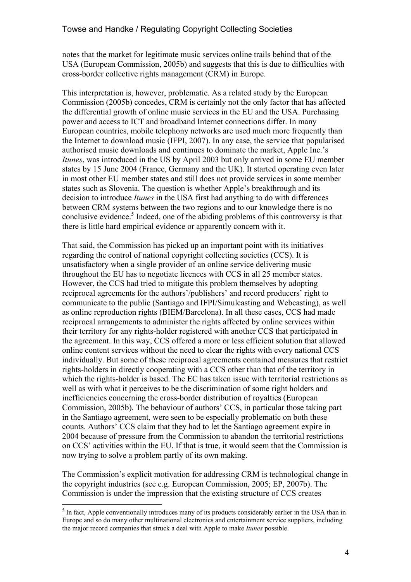notes that the market for legitimate music services online trails behind that of the USA (European Commission, 2005b) and suggests that this is due to difficulties with cross-border collective rights management (CRM) in Europe.

This interpretation is, however, problematic. As a related study by the European Commission (2005b) concedes, CRM is certainly not the only factor that has affected the differential growth of online music services in the EU and the USA. Purchasing power and access to ICT and broadband Internet connections differ. In many European countries, mobile telephony networks are used much more frequently than the Internet to download music (IFPI, 2007). In any case, the service that popularised authorised music downloads and continues to dominate the market, Apple Inc.'s *Itunes*, was introduced in the US by April 2003 but only arrived in some EU member states by 15 June 2004 (France, Germany and the UK). It started operating even later in most other EU member states and still does not provide services in some member states such as Slovenia. The question is whether Apple's breakthrough and its decision to introduce *Itunes* in the USA first had anything to do with differences between CRM systems between the two regions and to our knowledge there is no conclusive evidence.<sup>5</sup> Indeed, one of the abiding problems of this controversy is that there is little hard empirical evidence or apparently concern with it.

That said, the Commission has picked up an important point with its initiatives regarding the control of national copyright collecting societies (CCS). It is unsatisfactory when a single provider of an online service delivering music throughout the EU has to negotiate licences with CCS in all 25 member states. However, the CCS had tried to mitigate this problem themselves by adopting reciprocal agreements for the authors'/publishers' and record producers' right to communicate to the public (Santiago and IFPI/Simulcasting and Webcasting), as well as online reproduction rights (BIEM/Barcelona). In all these cases, CCS had made reciprocal arrangements to administer the rights affected by online services within their territory for any rights-holder registered with another CCS that participated in the agreement. In this way, CCS offered a more or less efficient solution that allowed online content services without the need to clear the rights with every national CCS individually. But some of these reciprocal agreements contained measures that restrict rights-holders in directly cooperating with a CCS other than that of the territory in which the rights-holder is based. The EC has taken issue with territorial restrictions as well as with what it perceives to be the discrimination of some right holders and inefficiencies concerning the cross-border distribution of royalties (European Commission, 2005b). The behaviour of authors' CCS, in particular those taking part in the Santiago agreement, were seen to be especially problematic on both these counts. Authors' CCS claim that they had to let the Santiago agreement expire in 2004 because of pressure from the Commission to abandon the territorial restrictions on CCS' activities within the EU. If that is true, it would seem that the Commission is now trying to solve a problem partly of its own making.

The Commission's explicit motivation for addressing CRM is technological change in the copyright industries (see e.g. European Commission, 2005; EP, 2007b). The Commission is under the impression that the existing structure of CCS creates

<sup>&</sup>lt;sup>5</sup> In fact, Apple conventionally introduces many of its products considerably earlier in the USA than in Europe and so do many other multinational electronics and entertainment service suppliers, including the major record companies that struck a deal with Apple to make *Itunes* possible.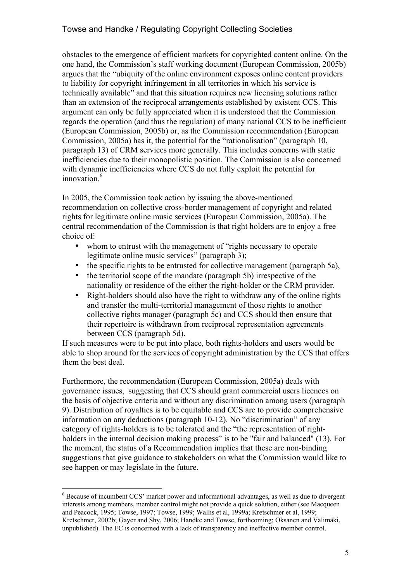obstacles to the emergence of efficient markets for copyrighted content online. On the one hand, the Commission's staff working document (European Commission, 2005b) argues that the "ubiquity of the online environment exposes online content providers to liability for copyright infringement in all territories in which his service is technically available" and that this situation requires new licensing solutions rather than an extension of the reciprocal arrangements established by existent CCS. This argument can only be fully appreciated when it is understood that the Commission regards the operation (and thus the regulation) of many national CCS to be inefficient (European Commission, 2005b) or, as the Commission recommendation (European Commission, 2005a) has it, the potential for the "rationalisation" (paragraph 10, paragraph 13) of CRM services more generally. This includes concerns with static inefficiencies due to their monopolistic position. The Commission is also concerned with dynamic inefficiencies where CCS do not fully exploit the potential for innovation.<sup>6</sup>

In 2005, the Commission took action by issuing the above-mentioned recommendation on collective cross-border management of copyright and related rights for legitimate online music services (European Commission, 2005a). The central recommendation of the Commission is that right holders are to enjoy a free choice of:

- whom to entrust with the management of "rights necessary to operate" legitimate online music services" (paragraph 3);
- the specific rights to be entrusted for collective management (paragraph 5a),
- the territorial scope of the mandate (paragraph 5b) irrespective of the nationality or residence of the either the right-holder or the CRM provider.
- Right-holders should also have the right to withdraw any of the online rights and transfer the multi-territorial management of those rights to another collective rights manager (paragraph 5c) and CCS should then ensure that their repertoire is withdrawn from reciprocal representation agreements between CCS (paragraph 5d).

If such measures were to be put into place, both rights-holders and users would be able to shop around for the services of copyright administration by the CCS that offers them the best deal.

Furthermore, the recommendation (European Commission, 2005a) deals with governance issues, suggesting that CCS should grant commercial users licences on the basis of objective criteria and without any discrimination among users (paragraph 9). Distribution of royalties is to be equitable and CCS are to provide comprehensive information on any deductions (paragraph 10-12). No "discrimination" of any category of rights-holders is to be tolerated and the "the representation of rightholders in the internal decision making process" is to be "fair and balanced" (13). For the moment, the status of a Recommendation implies that these are non-binding suggestions that give guidance to stakeholders on what the Commission would like to see happen or may legislate in the future.

 $6$  Because of incumbent CCS' market power and informational advantages, as well as due to divergent interests among members, member control might not provide a quick solution, either (see Macqueen and Peacock, 1995; Towse, 1997; Towse, 1999; Wallis et al, 1999a; Kretschmer et al, 1999; Kretschmer, 2002b; Gayer and Shy, 2006; Handke and Towse, forthcoming; Oksanen and Välimäki, unpublished). The EC is concerned with a lack of transparency and ineffective member control.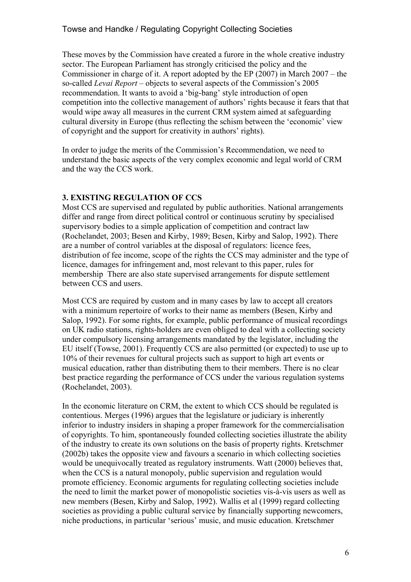These moves by the Commission have created a furore in the whole creative industry sector. The European Parliament has strongly criticised the policy and the Commissioner in charge of it. A report adopted by the EP (2007) in March 2007 – the so-called *Levai Report* – objects to several aspects of the Commission's 2005 recommendation. It wants to avoid a 'big-bang' style introduction of open competition into the collective management of authors' rights because it fears that that would wipe away all measures in the current CRM system aimed at safeguarding cultural diversity in Europe (thus reflecting the schism between the 'economic' view of copyright and the support for creativity in authors' rights).

In order to judge the merits of the Commission's Recommendation, we need to understand the basic aspects of the very complex economic and legal world of CRM and the way the CCS work.

#### **3. EXISTING REGULATION OF CCS**

Most CCS are supervised and regulated by public authorities. National arrangements differ and range from direct political control or continuous scrutiny by specialised supervisory bodies to a simple application of competition and contract law (Rochelandet, 2003; Besen and Kirby, 1989; Besen, Kirby and Salop, 1992). There are a number of control variables at the disposal of regulators: licence fees, distribution of fee income, scope of the rights the CCS may administer and the type of licence, damages for infringement and, most relevant to this paper, rules for membership There are also state supervised arrangements for dispute settlement between CCS and users.

Most CCS are required by custom and in many cases by law to accept all creators with a minimum repertoire of works to their name as members (Besen, Kirby and Salop, 1992). For some rights, for example, public performance of musical recordings on UK radio stations, rights-holders are even obliged to deal with a collecting society under compulsory licensing arrangements mandated by the legislator, including the EU itself (Towse, 2001). Frequently CCS are also permitted (or expected) to use up to 10% of their revenues for cultural projects such as support to high art events or musical education, rather than distributing them to their members. There is no clear best practice regarding the performance of CCS under the various regulation systems (Rochelandet, 2003).

In the economic literature on CRM, the extent to which CCS should be regulated is contentious. Merges (1996) argues that the legislature or judiciary is inherently inferior to industry insiders in shaping a proper framework for the commercialisation of copyrights. To him, spontaneously founded collecting societies illustrate the ability of the industry to create its own solutions on the basis of property rights. Kretschmer (2002b) takes the opposite view and favours a scenario in which collecting societies would be unequivocally treated as regulatory instruments. Watt (2000) believes that, when the CCS is a natural monopoly, public supervision and regulation would promote efficiency. Economic arguments for regulating collecting societies include the need to limit the market power of monopolistic societies vis-à-vis users as well as new members (Besen, Kirby and Salop, 1992). Wallis et al (1999) regard collecting societies as providing a public cultural service by financially supporting newcomers, niche productions, in particular 'serious' music, and music education. Kretschmer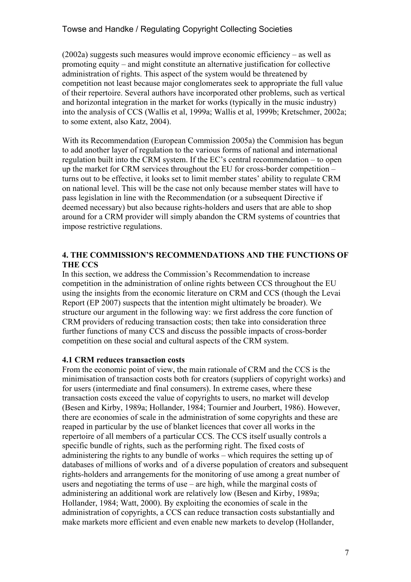$(2002a)$  suggests such measures would improve economic efficiency – as well as promoting equity – and might constitute an alternative justification for collective administration of rights. This aspect of the system would be threatened by competition not least because major conglomerates seek to appropriate the full value of their repertoire. Several authors have incorporated other problems, such as vertical and horizontal integration in the market for works (typically in the music industry) into the analysis of CCS (Wallis et al, 1999a; Wallis et al, 1999b; Kretschmer, 2002a; to some extent, also Katz, 2004).

With its Recommendation (European Commission 2005a) the Commision has begun to add another layer of regulation to the various forms of national and international regulation built into the CRM system. If the EC's central recommendation – to open up the market for CRM services throughout the EU for cross-border competition – turns out to be effective, it looks set to limit member states' ability to regulate CRM on national level. This will be the case not only because member states will have to pass legislation in line with the Recommendation (or a subsequent Directive if deemed necessary) but also because rights-holders and users that are able to shop around for a CRM provider will simply abandon the CRM systems of countries that impose restrictive regulations.

## **4. THE COMMISSION'S RECOMMENDATIONS AND THE FUNCTIONS OF THE CCS**

In this section, we address the Commission's Recommendation to increase competition in the administration of online rights between CCS throughout the EU using the insights from the economic literature on CRM and CCS (though the Levai Report (EP 2007) suspects that the intention might ultimately be broader). We structure our argument in the following way: we first address the core function of CRM providers of reducing transaction costs; then take into consideration three further functions of many CCS and discuss the possible impacts of cross-border competition on these social and cultural aspects of the CRM system.

### **4.1 CRM reduces transaction costs**

From the economic point of view, the main rationale of CRM and the CCS is the minimisation of transaction costs both for creators (suppliers of copyright works) and for users (intermediate and final consumers). In extreme cases, where these transaction costs exceed the value of copyrights to users, no market will develop (Besen and Kirby, 1989a; Hollander, 1984; Tournier and Jourbert, 1986). However, there are economies of scale in the administration of some copyrights and these are reaped in particular by the use of blanket licences that cover all works in the repertoire of all members of a particular CCS. The CCS itself usually controls a specific bundle of rights, such as the performing right. The fixed costs of administering the rights to any bundle of works – which requires the setting up of databases of millions of works and of a diverse population of creators and subsequent rights-holders and arrangements for the monitoring of use among a great number of users and negotiating the terms of use – are high, while the marginal costs of administering an additional work are relatively low (Besen and Kirby, 1989a; Hollander, 1984; Watt, 2000). By exploiting the economies of scale in the administration of copyrights, a CCS can reduce transaction costs substantially and make markets more efficient and even enable new markets to develop (Hollander,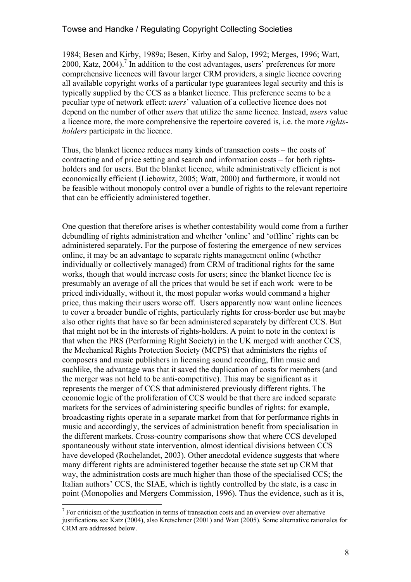1984; Besen and Kirby, 1989a; Besen, Kirby and Salop, 1992; Merges, 1996; Watt, 2000, Katz, 2004).<sup>7</sup> In addition to the cost advantages, users' preferences for more comprehensive licences will favour larger CRM providers, a single licence covering all available copyright works of a particular type guarantees legal security and this is typically supplied by the CCS as a blanket licence. This preference seems to be a peculiar type of network effect: *users*' valuation of a collective licence does not depend on the number of other *users* that utilize the same licence. Instead, *users* value a licence more, the more comprehensive the repertoire covered is, i.e. the more *rightsholders* participate in the licence.

Thus, the blanket licence reduces many kinds of transaction costs – the costs of contracting and of price setting and search and information costs – for both rightsholders and for users. But the blanket licence, while administratively efficient is not economically efficient (Liebowitz, 2005; Watt, 2000) and furthermore, it would not be feasible without monopoly control over a bundle of rights to the relevant repertoire that can be efficiently administered together.

One question that therefore arises is whether contestability would come from a further debundling of rights administration and whether 'online' and 'offline' rights can be administered separately**.** For the purpose of fostering the emergence of new services online, it may be an advantage to separate rights management online (whether individually or collectively managed) from CRM of traditional rights for the same works, though that would increase costs for users; since the blanket licence fee is presumably an average of all the prices that would be set if each work were to be priced individually, without it, the most popular works would command a higher price, thus making their users worse off. Users apparently now want online licences to cover a broader bundle of rights, particularly rights for cross-border use but maybe also other rights that have so far been administered separately by different CCS. But that might not be in the interests of rights-holders. A point to note in the context is that when the PRS (Performing Right Society) in the UK merged with another CCS, the Mechanical Rights Protection Society (MCPS) that administers the rights of composers and music publishers in licensing sound recording, film music and suchlike, the advantage was that it saved the duplication of costs for members (and the merger was not held to be anti-competitive). This may be significant as it represents the merger of CCS that administered previously different rights. The economic logic of the proliferation of CCS would be that there are indeed separate markets for the services of administering specific bundles of rights: for example, broadcasting rights operate in a separate market from that for performance rights in music and accordingly, the services of administration benefit from specialisation in the different markets. Cross-country comparisons show that where CCS developed spontaneously without state intervention, almost identical divisions between CCS have developed (Rochelandet, 2003). Other anecdotal evidence suggests that where many different rights are administered together because the state set up CRM that way, the administration costs are much higher than those of the specialised CCS; the Italian authors' CCS, the SIAE, which is tightly controlled by the state, is a case in point (Monopolies and Mergers Commission, 1996). Thus the evidence, such as it is,

 $<sup>7</sup>$  For criticism of the justification in terms of transaction costs and an overview over alternative</sup> justifications see Katz (2004), also Kretschmer (2001) and Watt (2005). Some alternative rationales for CRM are addressed below.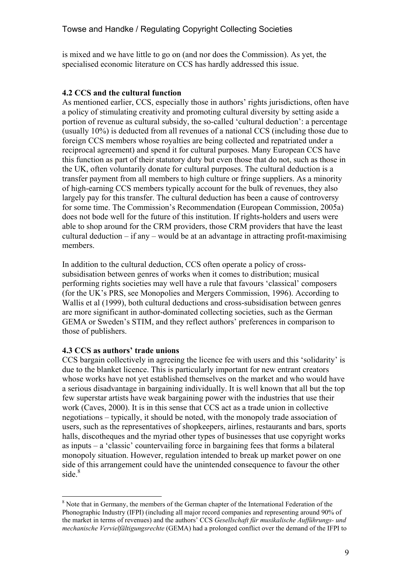is mixed and we have little to go on (and nor does the Commission). As yet, the specialised economic literature on CCS has hardly addressed this issue.

#### **4.2 CCS and the cultural function**

As mentioned earlier, CCS, especially those in authors' rights jurisdictions, often have a policy of stimulating creativity and promoting cultural diversity by setting aside a portion of revenue as cultural subsidy, the so-called 'cultural deduction': a percentage (usually 10%) is deducted from all revenues of a national CCS (including those due to foreign CCS members whose royalties are being collected and repatriated under a reciprocal agreement) and spend it for cultural purposes. Many European CCS have this function as part of their statutory duty but even those that do not, such as those in the UK, often voluntarily donate for cultural purposes. The cultural deduction is a transfer payment from all members to high culture or fringe suppliers. As a minority of high-earning CCS members typically account for the bulk of revenues, they also largely pay for this transfer. The cultural deduction has been a cause of controversy for some time. The Commission's Recommendation (European Commission, 2005a) does not bode well for the future of this institution. If rights-holders and users were able to shop around for the CRM providers, those CRM providers that have the least cultural deduction – if any – would be at an advantage in attracting profit-maximising members.

In addition to the cultural deduction, CCS often operate a policy of crosssubsidisation between genres of works when it comes to distribution; musical performing rights societies may well have a rule that favours 'classical' composers (for the UK's PRS, see Monopolies and Mergers Commission, 1996). According to Wallis et al (1999), both cultural deductions and cross-subsidisation between genres are more significant in author-dominated collecting societies, such as the German GEMA or Sweden's STIM, and they reflect authors' preferences in comparison to those of publishers.

### **4.3 CCS as authors' trade unions**

 $\overline{a}$ 

CCS bargain collectively in agreeing the licence fee with users and this 'solidarity' is due to the blanket licence. This is particularly important for new entrant creators whose works have not yet established themselves on the market and who would have a serious disadvantage in bargaining individually. It is well known that all but the top few superstar artists have weak bargaining power with the industries that use their work (Caves, 2000). It is in this sense that CCS act as a trade union in collective negotiations – typically, it should be noted, with the monopoly trade association of users, such as the representatives of shopkeepers, airlines, restaurants and bars, sports halls, discotheques and the myriad other types of businesses that use copyright works as inputs – a 'classic' countervailing force in bargaining fees that forms a bilateral monopoly situation. However, regulation intended to break up market power on one side of this arrangement could have the unintended consequence to favour the other  $side.<sup>8</sup>$ 

<sup>&</sup>lt;sup>8</sup> Note that in Germany, the members of the German chapter of the International Federation of the Phonographic Industry (IFPI) (including all major record companies and representing around 90% of the market in terms of revenues) and the authors' CCS *Gesellschaft für musikalische Aufführungs- und mechanische Vervielfältigungsrechte* (GEMA) had a prolonged conflict over the demand of the IFPI to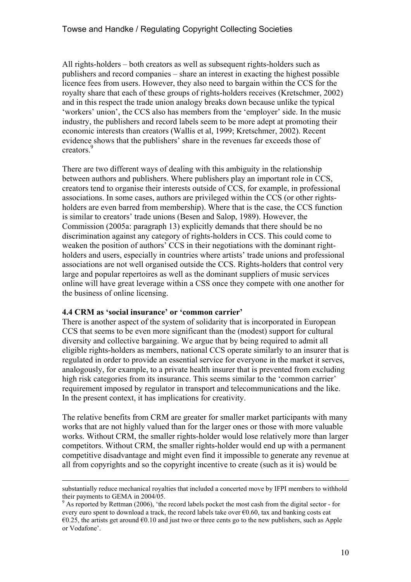All rights-holders – both creators as well as subsequent rights-holders such as publishers and record companies – share an interest in exacting the highest possible licence fees from users. However, they also need to bargain within the CCS for the royalty share that each of these groups of rights-holders receives (Kretschmer, 2002) and in this respect the trade union analogy breaks down because unlike the typical 'workers' union', the CCS also has members from the 'employer' side. In the music industry, the publishers and record labels seem to be more adept at promoting their economic interests than creators (Wallis et al, 1999; Kretschmer, 2002). Recent evidence shows that the publishers' share in the revenues far exceeds those of creators<sup>9</sup>

There are two different ways of dealing with this ambiguity in the relationship between authors and publishers. Where publishers play an important role in CCS, creators tend to organise their interests outside of CCS, for example, in professional associations. In some cases, authors are privileged within the CCS (or other rightsholders are even barred from membership). Where that is the case, the CCS function is similar to creators' trade unions (Besen and Salop, 1989). However, the Commission (2005a: paragraph 13) explicitly demands that there should be no discrimination against any category of rights-holders in CCS. This could come to weaken the position of authors' CCS in their negotiations with the dominant rightholders and users, especially in countries where artists' trade unions and professional associations are not well organised outside the CCS. Rights-holders that control very large and popular repertoires as well as the dominant suppliers of music services online will have great leverage within a CSS once they compete with one another for the business of online licensing.

#### **4.4 CRM as 'social insurance' or 'common carrier'**

There is another aspect of the system of solidarity that is incorporated in European CCS that seems to be even more significant than the (modest) support for cultural diversity and collective bargaining. We argue that by being required to admit all eligible rights-holders as members, national CCS operate similarly to an insurer that is regulated in order to provide an essential service for everyone in the market it serves, analogously, for example, to a private health insurer that is prevented from excluding high risk categories from its insurance. This seems similar to the 'common carrier' requirement imposed by regulator in transport and telecommunications and the like. In the present context, it has implications for creativity.

The relative benefits from CRM are greater for smaller market participants with many works that are not highly valued than for the larger ones or those with more valuable works. Without CRM, the smaller rights-holder would lose relatively more than larger competitors. Without CRM, the smaller rights-holder would end up with a permanent competitive disadvantage and might even find it impossible to generate any revenue at all from copyrights and so the copyright incentive to create (such as it is) would be

substantially reduce mechanical royalties that included a concerted move by IFPI members to withhold their payments to GEMA in 2004/05.

<sup>&</sup>lt;sup>9</sup> As reported by Rettman (2006), 'the record labels pocket the most cash from the digital sector - for every euro spent to download a track, the record labels take over €0.60, tax and banking costs eat  $\epsilon$ 0.25, the artists get around  $\epsilon$ 0.10 and just two or three cents go to the new publishers, such as Apple or Vodafone'.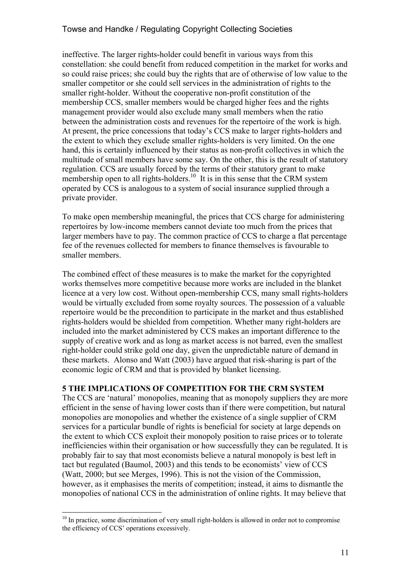ineffective. The larger rights-holder could benefit in various ways from this constellation: she could benefit from reduced competition in the market for works and so could raise prices; she could buy the rights that are of otherwise of low value to the smaller competitor or she could sell services in the administration of rights to the smaller right-holder. Without the cooperative non-profit constitution of the membership CCS, smaller members would be charged higher fees and the rights management provider would also exclude many small members when the ratio between the administration costs and revenues for the repertoire of the work is high. At present, the price concessions that today's CCS make to larger rights-holders and the extent to which they exclude smaller rights-holders is very limited. On the one hand, this is certainly influenced by their status as non-profit collectives in which the multitude of small members have some say. On the other, this is the result of statutory regulation. CCS are usually forced by the terms of their statutory grant to make membership open to all rights-holders.<sup>10</sup> It is in this sense that the CRM system operated by CCS is analogous to a system of social insurance supplied through a private provider.

To make open membership meaningful, the prices that CCS charge for administering repertoires by low-income members cannot deviate too much from the prices that larger members have to pay. The common practice of CCS to charge a flat percentage fee of the revenues collected for members to finance themselves is favourable to smaller members.

The combined effect of these measures is to make the market for the copyrighted works themselves more competitive because more works are included in the blanket licence at a very low cost. Without open-membership CCS, many small rights-holders would be virtually excluded from some royalty sources. The possession of a valuable repertoire would be the precondition to participate in the market and thus established rights-holders would be shielded from competition. Whether many right-holders are included into the market administered by CCS makes an important difference to the supply of creative work and as long as market access is not barred, even the smallest right-holder could strike gold one day, given the unpredictable nature of demand in these markets. Alonso and Watt (2003) have argued that risk-sharing is part of the economic logic of CRM and that is provided by blanket licensing.

#### **5 THE IMPLICATIONS OF COMPETITION FOR THE CRM SYSTEM**

The CCS are 'natural' monopolies, meaning that as monopoly suppliers they are more efficient in the sense of having lower costs than if there were competition, but natural monopolies are monopolies and whether the existence of a single supplier of CRM services for a particular bundle of rights is beneficial for society at large depends on the extent to which CCS exploit their monopoly position to raise prices or to tolerate inefficiencies within their organisation or how successfully they can be regulated. It is probably fair to say that most economists believe a natural monopoly is best left in tact but regulated (Baumol, 2003) and this tends to be economists' view of CCS (Watt, 2000; but see Merges, 1996). This is not the vision of the Commission, however, as it emphasises the merits of competition; instead, it aims to dismantle the monopolies of national CCS in the administration of online rights. It may believe that

 $10$  In practice, some discrimination of very small right-holders is allowed in order not to compromise the efficiency of CCS' operations excessively.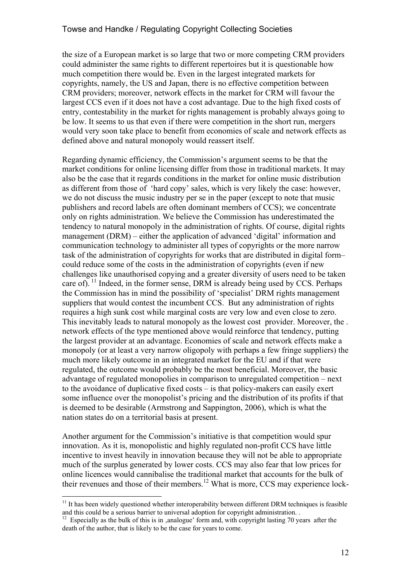the size of a European market is so large that two or more competing CRM providers could administer the same rights to different repertoires but it is questionable how much competition there would be. Even in the largest integrated markets for copyrights, namely, the US and Japan, there is no effective competition between CRM providers; moreover, network effects in the market for CRM will favour the largest CCS even if it does not have a cost advantage. Due to the high fixed costs of entry, contestability in the market for rights management is probably always going to be low. It seems to us that even if there were competition in the short run, mergers would very soon take place to benefit from economies of scale and network effects as defined above and natural monopoly would reassert itself.

Regarding dynamic efficiency, the Commission's argument seems to be that the market conditions for online licensing differ from those in traditional markets. It may also be the case that it regards conditions in the market for online music distribution as different from those of 'hard copy' sales, which is very likely the case: however, we do not discuss the music industry per se in the paper (except to note that music publishers and record labels are often dominant members of CCS); we concentrate only on rights administration. We believe the Commission has underestimated the tendency to natural monopoly in the administration of rights. Of course, digital rights management (DRM) – either the application of advanced 'digital' information and communication technology to administer all types of copyrights or the more narrow task of the administration of copyrights for works that are distributed in digital form– could reduce some of the costs in the administration of copyrights (even if new challenges like unauthorised copying and a greater diversity of users need to be taken care of). <sup>11</sup> Indeed, in the former sense, DRM is already being used by CCS. Perhaps the Commission has in mind the possibility of 'specialist' DRM rights management suppliers that would contest the incumbent CCS. But any administration of rights requires a high sunk cost while marginal costs are very low and even close to zero. This inevitably leads to natural monopoly as the lowest cost provider. Moreover, the . network effects of the type mentioned above would reinforce that tendency, putting the largest provider at an advantage. Economies of scale and network effects make a monopoly (or at least a very narrow oligopoly with perhaps a few fringe suppliers) the much more likely outcome in an integrated market for the EU and if that were regulated, the outcome would probably be the most beneficial. Moreover, the basic advantage of regulated monopolies in comparison to unregulated competition – next to the avoidance of duplicative fixed costs – is that policy-makers can easily exert some influence over the monopolist's pricing and the distribution of its profits if that is deemed to be desirable (Armstrong and Sappington, 2006), which is what the nation states do on a territorial basis at present.

Another argument for the Commission's initiative is that competition would spur innovation. As it is, monopolistic and highly regulated non-profit CCS have little incentive to invest heavily in innovation because they will not be able to appropriate much of the surplus generated by lower costs. CCS may also fear that low prices for online licences would cannibalise the traditional market that accounts for the bulk of their revenues and those of their members.<sup>12</sup> What is more, CCS may experience lock-

 $11$  It has been widely questioned whether interoperability between different DRM techniques is feasible and this could be a serious barrier to universal adoption for copyright administration. .

<sup>&</sup>lt;sup>12</sup> Especially as the bulk of this is in ,analogue' form and, with copyright lasting 70 years after the death of the author, that is likely to be the case for years to come.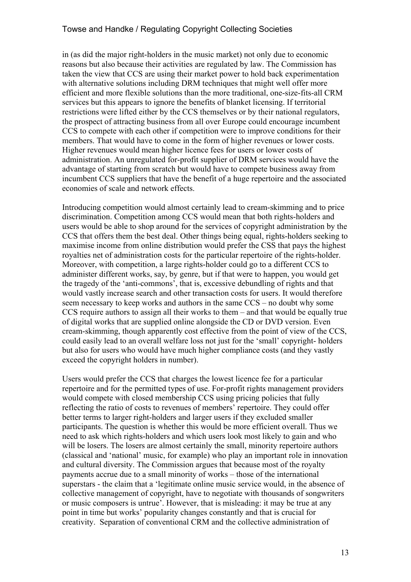in (as did the major right-holders in the music market) not only due to economic reasons but also because their activities are regulated by law. The Commission has taken the view that CCS are using their market power to hold back experimentation with alternative solutions including DRM techniques that might well offer more efficient and more flexible solutions than the more traditional, one-size-fits-all CRM services but this appears to ignore the benefits of blanket licensing. If territorial restrictions were lifted either by the CCS themselves or by their national regulators, the prospect of attracting business from all over Europe could encourage incumbent CCS to compete with each other if competition were to improve conditions for their members. That would have to come in the form of higher revenues or lower costs. Higher revenues would mean higher licence fees for users or lower costs of administration. An unregulated for-profit supplier of DRM services would have the advantage of starting from scratch but would have to compete business away from incumbent CCS suppliers that have the benefit of a huge repertoire and the associated economies of scale and network effects.

Introducing competition would almost certainly lead to cream-skimming and to price discrimination. Competition among CCS would mean that both rights-holders and users would be able to shop around for the services of copyright administration by the CCS that offers them the best deal. Other things being equal, rights-holders seeking to maximise income from online distribution would prefer the CSS that pays the highest royalties net of administration costs for the particular repertoire of the rights-holder. Moreover, with competition, a large rights-holder could go to a different CCS to administer different works, say, by genre, but if that were to happen, you would get the tragedy of the 'anti-commons', that is, excessive debundling of rights and that would vastly increase search and other transaction costs for users. It would therefore seem necessary to keep works and authors in the same CCS – no doubt why some CCS require authors to assign all their works to them – and that would be equally true of digital works that are supplied online alongside the CD or DVD version. Even cream-skimming, though apparently cost effective from the point of view of the CCS, could easily lead to an overall welfare loss not just for the 'small' copyright- holders but also for users who would have much higher compliance costs (and they vastly exceed the copyright holders in number).

Users would prefer the CCS that charges the lowest licence fee for a particular repertoire and for the permitted types of use. For-profit rights management providers would compete with closed membership CCS using pricing policies that fully reflecting the ratio of costs to revenues of members' repertoire. They could offer better terms to larger right-holders and larger users if they excluded smaller participants. The question is whether this would be more efficient overall. Thus we need to ask which rights-holders and which users look most likely to gain and who will be losers. The losers are almost certainly the small, minority repertoire authors (classical and 'national' music, for example) who play an important role in innovation and cultural diversity. The Commission argues that because most of the royalty payments accrue due to a small minority of works – those of the international superstars - the claim that a 'legitimate online music service would, in the absence of collective management of copyright, have to negotiate with thousands of songwriters or music composers is untrue'. However, that is misleading: it may be true at any point in time but works' popularity changes constantly and that is crucial for creativity. Separation of conventional CRM and the collective administration of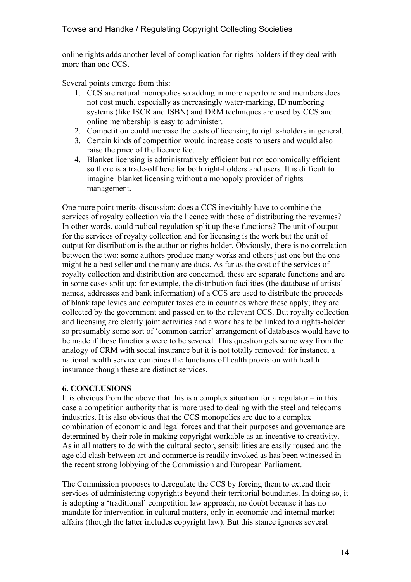online rights adds another level of complication for rights-holders if they deal with more than one CCS.

Several points emerge from this:

- 1. CCS are natural monopolies so adding in more repertoire and members does not cost much, especially as increasingly water-marking, ID numbering systems (like ISCR and ISBN) and DRM techniques are used by CCS and online membership is easy to administer.
- 2. Competition could increase the costs of licensing to rights-holders in general.
- 3. Certain kinds of competition would increase costs to users and would also raise the price of the licence fee.
- 4. Blanket licensing is administratively efficient but not economically efficient so there is a trade-off here for both right-holders and users. It is difficult to imagine blanket licensing without a monopoly provider of rights management.

One more point merits discussion: does a CCS inevitably have to combine the services of royalty collection via the licence with those of distributing the revenues? In other words, could radical regulation split up these functions? The unit of output for the services of royalty collection and for licensing is the work but the unit of output for distribution is the author or rights holder. Obviously, there is no correlation between the two: some authors produce many works and others just one but the one might be a best seller and the many are duds. As far as the cost of the services of royalty collection and distribution are concerned, these are separate functions and are in some cases split up: for example, the distribution facilities (the database of artists' names, addresses and bank information) of a CCS are used to distribute the proceeds of blank tape levies and computer taxes etc in countries where these apply; they are collected by the government and passed on to the relevant CCS. But royalty collection and licensing are clearly joint activities and a work has to be linked to a rights-holder so presumably some sort of 'common carrier' arrangement of databases would have to be made if these functions were to be severed. This question gets some way from the analogy of CRM with social insurance but it is not totally removed: for instance, a national health service combines the functions of health provision with health insurance though these are distinct services.

### **6. CONCLUSIONS**

It is obvious from the above that this is a complex situation for a regulator  $-\text{in this}$ case a competition authority that is more used to dealing with the steel and telecoms industries. It is also obvious that the CCS monopolies are due to a complex combination of economic and legal forces and that their purposes and governance are determined by their role in making copyright workable as an incentive to creativity. As in all matters to do with the cultural sector, sensibilities are easily roused and the age old clash between art and commerce is readily invoked as has been witnessed in the recent strong lobbying of the Commission and European Parliament.

The Commission proposes to deregulate the CCS by forcing them to extend their services of administering copyrights beyond their territorial boundaries. In doing so, it is adopting a 'traditional' competition law approach, no doubt because it has no mandate for intervention in cultural matters, only in economic and internal market affairs (though the latter includes copyright law). But this stance ignores several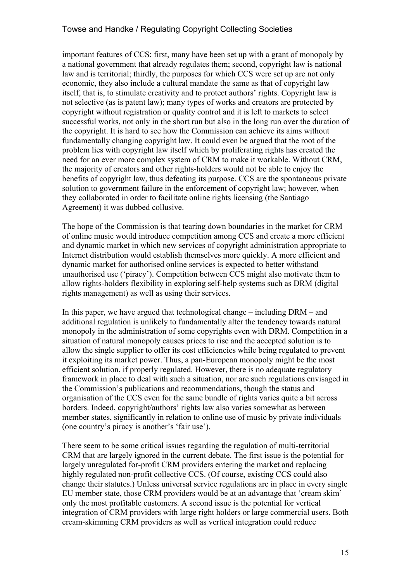important features of CCS: first, many have been set up with a grant of monopoly by a national government that already regulates them; second, copyright law is national law and is territorial; thirdly, the purposes for which CCS were set up are not only economic, they also include a cultural mandate the same as that of copyright law itself, that is, to stimulate creativity and to protect authors' rights. Copyright law is not selective (as is patent law); many types of works and creators are protected by copyright without registration or quality control and it is left to markets to select successful works, not only in the short run but also in the long run over the duration of the copyright. It is hard to see how the Commission can achieve its aims without fundamentally changing copyright law. It could even be argued that the root of the problem lies with copyright law itself which by proliferating rights has created the need for an ever more complex system of CRM to make it workable. Without CRM, the majority of creators and other rights-holders would not be able to enjoy the benefits of copyright law, thus defeating its purpose. CCS are the spontaneous private solution to government failure in the enforcement of copyright law; however, when they collaborated in order to facilitate online rights licensing (the Santiago Agreement) it was dubbed collusive.

The hope of the Commission is that tearing down boundaries in the market for CRM of online music would introduce competition among CCS and create a more efficient and dynamic market in which new services of copyright administration appropriate to Internet distribution would establish themselves more quickly. A more efficient and dynamic market for authorised online services is expected to better withstand unauthorised use ('piracy'). Competition between CCS might also motivate them to allow rights-holders flexibility in exploring self-help systems such as DRM (digital rights management) as well as using their services.

In this paper, we have argued that technological change – including DRM – and additional regulation is unlikely to fundamentally alter the tendency towards natural monopoly in the administration of some copyrights even with DRM. Competition in a situation of natural monopoly causes prices to rise and the accepted solution is to allow the single supplier to offer its cost efficiencies while being regulated to prevent it exploiting its market power. Thus, a pan-European monopoly might be the most efficient solution, if properly regulated. However, there is no adequate regulatory framework in place to deal with such a situation, nor are such regulations envisaged in the Commission's publications and recommendations, though the status and organisation of the CCS even for the same bundle of rights varies quite a bit across borders. Indeed, copyright/authors' rights law also varies somewhat as between member states, significantly in relation to online use of music by private individuals (one country's piracy is another's 'fair use').

There seem to be some critical issues regarding the regulation of multi-territorial CRM that are largely ignored in the current debate. The first issue is the potential for largely unregulated for-profit CRM providers entering the market and replacing highly regulated non-profit collective CCS. (Of course, existing CCS could also change their statutes.) Unless universal service regulations are in place in every single EU member state, those CRM providers would be at an advantage that 'cream skim' only the most profitable customers. A second issue is the potential for vertical integration of CRM providers with large right holders or large commercial users. Both cream-skimming CRM providers as well as vertical integration could reduce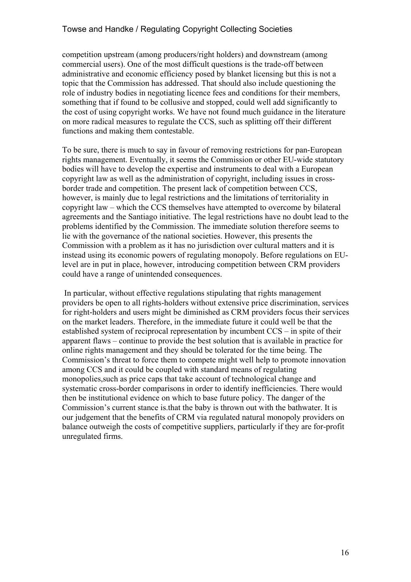competition upstream (among producers/right holders) and downstream (among commercial users). One of the most difficult questions is the trade-off between administrative and economic efficiency posed by blanket licensing but this is not a topic that the Commission has addressed. That should also include questioning the role of industry bodies in negotiating licence fees and conditions for their members, something that if found to be collusive and stopped, could well add significantly to the cost of using copyright works. We have not found much guidance in the literature on more radical measures to regulate the CCS, such as splitting off their different functions and making them contestable.

To be sure, there is much to say in favour of removing restrictions for pan-European rights management. Eventually, it seems the Commission or other EU-wide statutory bodies will have to develop the expertise and instruments to deal with a European copyright law as well as the administration of copyright, including issues in crossborder trade and competition. The present lack of competition between CCS, however, is mainly due to legal restrictions and the limitations of territoriality in copyright law – which the CCS themselves have attempted to overcome by bilateral agreements and the Santiago initiative. The legal restrictions have no doubt lead to the problems identified by the Commission. The immediate solution therefore seems to lie with the governance of the national societies. However, this presents the Commission with a problem as it has no jurisdiction over cultural matters and it is instead using its economic powers of regulating monopoly. Before regulations on EUlevel are in put in place, however, introducing competition between CRM providers could have a range of unintended consequences.

 In particular, without effective regulations stipulating that rights management providers be open to all rights-holders without extensive price discrimination, services for right-holders and users might be diminished as CRM providers focus their services on the market leaders. Therefore, in the immediate future it could well be that the established system of reciprocal representation by incumbent CCS – in spite of their apparent flaws – continue to provide the best solution that is available in practice for online rights management and they should be tolerated for the time being. The Commission's threat to force them to compete might well help to promote innovation among CCS and it could be coupled with standard means of regulating monopolies,such as price caps that take account of technological change and systematic cross-border comparisons in order to identify inefficiencies. There would then be institutional evidence on which to base future policy. The danger of the Commission's current stance is.that the baby is thrown out with the bathwater. It is our judgement that the benefits of CRM via regulated natural monopoly providers on balance outweigh the costs of competitive suppliers, particularly if they are for-profit unregulated firms.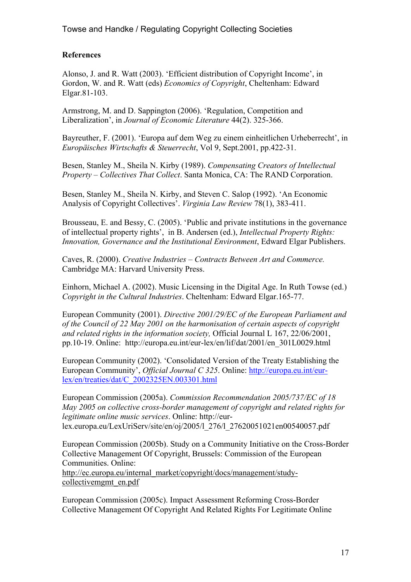## **References**

Alonso, J. and R. Watt (2003). 'Efficient distribution of Copyright Income', in Gordon, W. and R. Watt (eds) *Economics of Copyright*, Cheltenham: Edward Elgar.81-103.

Armstrong, M. and D. Sappington (2006). 'Regulation, Competition and Liberalization', in *Journal of Economic Literature* 44(2). 325-366.

Bayreuther, F. (2001). 'Europa auf dem Weg zu einem einheitlichen Urheberrecht', in *Europäisches Wirtschafts & Steuerrecht*, Vol 9, Sept.2001, pp.422-31.

Besen, Stanley M., Sheila N. Kirby (1989). *Compensating Creators of Intellectual Property – Collectives That Collect*. Santa Monica, CA: The RAND Corporation.

Besen, Stanley M., Sheila N. Kirby, and Steven C. Salop (1992). 'An Economic Analysis of Copyright Collectives'. *Virginia Law Review* 78(1), 383-411.

Brousseau, E. and Bessy, C. (2005). 'Public and private institutions in the governance of intellectual property rights', in B. Andersen (ed.), *Intellectual Property Rights: Innovation, Governance and the Institutional Environment*, Edward Elgar Publishers.

Caves, R. (2000). *Creative Industries – Contracts Between Art and Commerce.* Cambridge MA: Harvard University Press.

Einhorn, Michael A. (2002). Music Licensing in the Digital Age. In Ruth Towse (ed.) *Copyright in the Cultural Industries*. Cheltenham: Edward Elgar.165-77.

European Community (2001). *Directive 2001/29/EC of the European Parliament and of the Council of 22 May 2001 on the harmonisation of certain aspects of copyright and related rights in the information society,* Official Journal L 167, 22/06/2001, pp.10-19. Online: http://europa.eu.int/eur-lex/en/lif/dat/2001/en\_301L0029.html

European Community (2002). 'Consolidated Version of the Treaty Establishing the European Community', *Official Journal C 325*. Online: http://europa.eu.int/eurlex/en/treaties/dat/C\_2002325EN.003301.html

European Commission (2005a). *Commission Recommendation 2005/737/EC of 18 May 2005 on collective cross-border management of copyright and related rights for legitimate online music services*. Online: http://eurlex.europa.eu/LexUriServ/site/en/oj/2005/l\_276/l\_27620051021en00540057.pdf

European Commission (2005b). Study on a Community Initiative on the Cross-Border Collective Management Of Copyright, Brussels: Commission of the European Communities. Online:

http://ec.europa.eu/internal\_market/copyright/docs/management/studycollectivemgmt\_en.pdf

European Commission (2005c). Impact Assessment Reforming Cross-Border Collective Management Of Copyright And Related Rights For Legitimate Online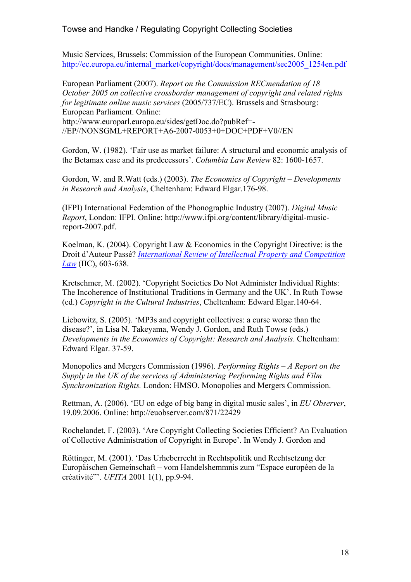Music Services, Brussels: Commission of the European Communities. Online: http://ec.europa.eu/internal\_market/copyright/docs/management/sec2005\_1254en.pdf

European Parliament (2007). *Report on the Commission RECmendation of 18 October 2005 on collective crossborder management of copyright and related rights for legitimate online music services* (2005/737/EC). Brussels and Strasbourg: European Parliament. Online:

http://www.europarl.europa.eu/sides/getDoc.do?pubRef=- //EP//NONSGML+REPORT+A6-2007-0053+0+DOC+PDF+V0//EN

Gordon, W. (1982). 'Fair use as market failure: A structural and economic analysis of the Betamax case and its predecessors'. *Columbia Law Review* 82: 1600-1657.

Gordon, W. and R.Watt (eds.) (2003). *The Economics of Copyright – Developments in Research and Analysis*, Cheltenham: Edward Elgar.176-98.

(IFPI) International Federation of the Phonographic Industry (2007). *Digital Music Report*, London: IFPI. Online: http://www.ifpi.org/content/library/digital-musicreport-2007.pdf.

Koelman, K. (2004). Copyright Law & Economics in the Copyright Directive: is the Droit d'Auteur Passé? *International Review of Intellectual Property and Competition Law* (IIC), 603-638.

Kretschmer, M. (2002). 'Copyright Societies Do Not Administer Individual Rights: The Incoherence of Institutional Traditions in Germany and the UK'. In Ruth Towse (ed.) *Copyright in the Cultural Industries*, Cheltenham: Edward Elgar.140-64.

Liebowitz, S. (2005). 'MP3s and copyright collectives: a curse worse than the disease?', in Lisa N. Takeyama, Wendy J. Gordon, and Ruth Towse (eds.) *Developments in the Economics of Copyright: Research and Analysis*. Cheltenham: Edward Elgar. 37-59.

Monopolies and Mergers Commission (1996). *Performing Rights – A Report on the Supply in the UK of the services of Administering Performing Rights and Film Synchronization Rights.* London: HMSO. Monopolies and Mergers Commission.

Rettman, A. (2006). 'EU on edge of big bang in digital music sales', in *EU Observer*, 19.09.2006. Online: http://euobserver.com/871/22429

Rochelandet, F. (2003). 'Are Copyright Collecting Societies Efficient? An Evaluation of Collective Administration of Copyright in Europe'. In Wendy J. Gordon and

Röttinger, M. (2001). 'Das Urheberrecht in Rechtspolitik und Rechtsetzung der Europäischen Gemeinschaft – vom Handelshemmnis zum "Espace européen de la créativité"'. *UFITA* 2001 1(1), pp.9-94.